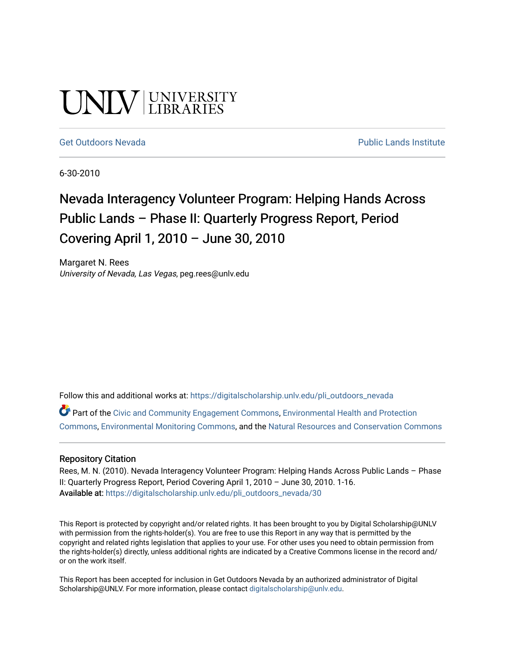# UNIV UNIVERSITY

#### [Get Outdoors Nevada](https://digitalscholarship.unlv.edu/pli_outdoors_nevada) **Public Lands Institute** Public Lands Institute

6-30-2010

# Nevada Interagency Volunteer Program: Helping Hands Across Public Lands – Phase II: Quarterly Progress Report, Period Covering April 1, 2010 – June 30, 2010

Margaret N. Rees University of Nevada, Las Vegas, peg.rees@unlv.edu

Follow this and additional works at: [https://digitalscholarship.unlv.edu/pli\\_outdoors\\_nevada](https://digitalscholarship.unlv.edu/pli_outdoors_nevada?utm_source=digitalscholarship.unlv.edu%2Fpli_outdoors_nevada%2F30&utm_medium=PDF&utm_campaign=PDFCoverPages)

Part of the [Civic and Community Engagement Commons](http://network.bepress.com/hgg/discipline/1028?utm_source=digitalscholarship.unlv.edu%2Fpli_outdoors_nevada%2F30&utm_medium=PDF&utm_campaign=PDFCoverPages), [Environmental Health and Protection](http://network.bepress.com/hgg/discipline/172?utm_source=digitalscholarship.unlv.edu%2Fpli_outdoors_nevada%2F30&utm_medium=PDF&utm_campaign=PDFCoverPages)  [Commons](http://network.bepress.com/hgg/discipline/172?utm_source=digitalscholarship.unlv.edu%2Fpli_outdoors_nevada%2F30&utm_medium=PDF&utm_campaign=PDFCoverPages), [Environmental Monitoring Commons,](http://network.bepress.com/hgg/discipline/931?utm_source=digitalscholarship.unlv.edu%2Fpli_outdoors_nevada%2F30&utm_medium=PDF&utm_campaign=PDFCoverPages) and the [Natural Resources and Conservation Commons](http://network.bepress.com/hgg/discipline/168?utm_source=digitalscholarship.unlv.edu%2Fpli_outdoors_nevada%2F30&utm_medium=PDF&utm_campaign=PDFCoverPages)

#### Repository Citation

Rees, M. N. (2010). Nevada Interagency Volunteer Program: Helping Hands Across Public Lands – Phase II: Quarterly Progress Report, Period Covering April 1, 2010 – June 30, 2010. 1-16. Available at: [https://digitalscholarship.unlv.edu/pli\\_outdoors\\_nevada/30](https://digitalscholarship.unlv.edu/pli_outdoors_nevada/30) 

This Report is protected by copyright and/or related rights. It has been brought to you by Digital Scholarship@UNLV with permission from the rights-holder(s). You are free to use this Report in any way that is permitted by the copyright and related rights legislation that applies to your use. For other uses you need to obtain permission from the rights-holder(s) directly, unless additional rights are indicated by a Creative Commons license in the record and/ or on the work itself.

This Report has been accepted for inclusion in Get Outdoors Nevada by an authorized administrator of Digital Scholarship@UNLV. For more information, please contact [digitalscholarship@unlv.edu.](mailto:digitalscholarship@unlv.edu)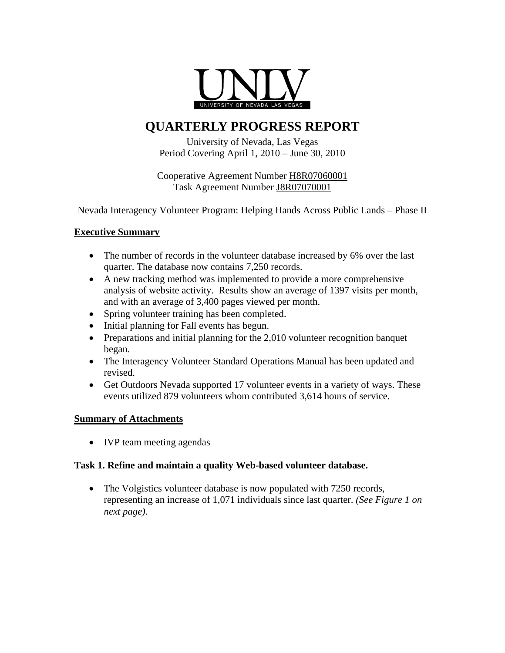

# **QUARTERLY PROGRESS REPORT**

University of Nevada, Las Vegas Period Covering April 1, 2010 – June 30, 2010

Cooperative Agreement Number H8R07060001 Task Agreement Number J8R07070001

Nevada Interagency Volunteer Program: Helping Hands Across Public Lands – Phase II

#### **Executive Summary**

- The number of records in the volunteer database increased by 6% over the last quarter. The database now contains 7,250 records.
- A new tracking method was implemented to provide a more comprehensive analysis of website activity. Results show an average of 1397 visits per month, and with an average of 3,400 pages viewed per month.
- Spring volunteer training has been completed.
- Initial planning for Fall events has begun.
- Preparations and initial planning for the 2,010 volunteer recognition banquet began.
- The Interagency Volunteer Standard Operations Manual has been updated and revised.
- Get Outdoors Nevada supported 17 volunteer events in a variety of ways. These events utilized 879 volunteers whom contributed 3,614 hours of service.

# **Summary of Attachments**

• IVP team meeting agendas

#### **Task 1. Refine and maintain a quality Web-based volunteer database.**

• The Volgistics volunteer database is now populated with 7250 records, representing an increase of 1,071 individuals since last quarter. *(See Figure 1 on next page)*.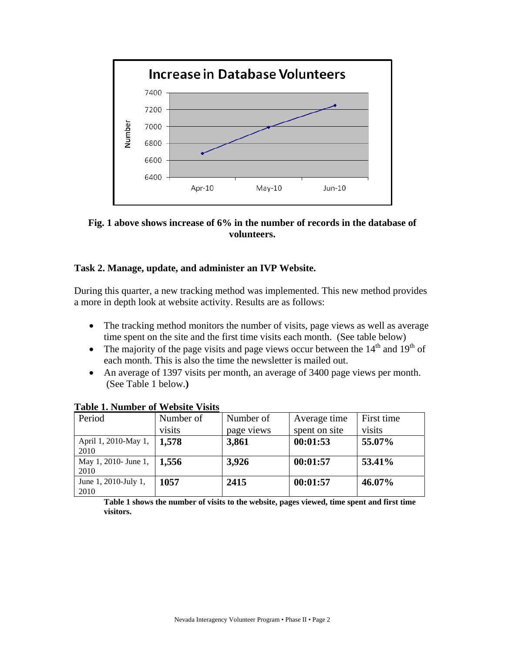

**Fig. 1 above shows increase of 6% in the number of records in the database of volunteers.** 

#### **Task 2. Manage, update, and administer an IVP Website.**

During this quarter, a new tracking method was implemented. This new method provides a more in depth look at website activity. Results are as follows:

- The tracking method monitors the number of visits, page views as well as average time spent on the site and the first time visits each month. (See table below)
- The majority of the page visits and page views occur between the  $14<sup>th</sup>$  and  $19<sup>th</sup>$  of each month. This is also the time the newsletter is mailed out.
- An average of 1397 visits per month, an average of 3400 page views per month. (See Table 1 below.**)**

| $\sim$ while at a versal value of the product |           |            |               |            |
|-----------------------------------------------|-----------|------------|---------------|------------|
| Period                                        | Number of | Number of  | Average time  | First time |
|                                               | visits    | page views | spent on site | visits     |
| April 1, 2010-May 1,                          | 1,578     | 3,861      | 00:01:53      | 55.07%     |
| 2010                                          |           |            |               |            |
| May 1, 2010- June 1,                          | 1.556     | 3,926      | 00:01:57      | 53.41%     |
| 2010                                          |           |            |               |            |
| June 1, 2010-July 1,                          | 1057      | 2415       | 00:01:57      | 46.07%     |
| 2010                                          |           |            |               |            |

**Table 1. Number of Website Visits**

**Table 1 shows the number of visits to the website, pages viewed, time spent and first time visitors.**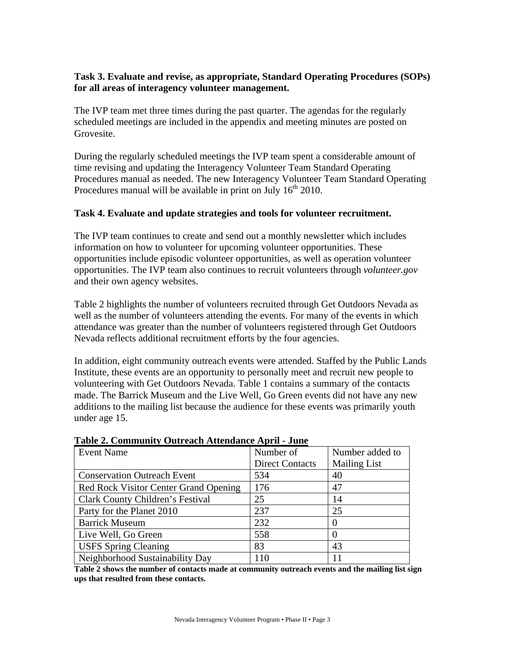### **Task 3. Evaluate and revise, as appropriate, Standard Operating Procedures (SOPs) for all areas of interagency volunteer management.**

The IVP team met three times during the past quarter. The agendas for the regularly scheduled meetings are included in the appendix and meeting minutes are posted on Grovesite.

During the regularly scheduled meetings the IVP team spent a considerable amount of time revising and updating the Interagency Volunteer Team Standard Operating Procedures manual as needed. The new Interagency Volunteer Team Standard Operating Procedures manual will be available in print on July  $16<sup>th</sup>$  2010.

#### **Task 4. Evaluate and update strategies and tools for volunteer recruitment.**

The IVP team continues to create and send out a monthly newsletter which includes information on how to volunteer for upcoming volunteer opportunities. These opportunities include episodic volunteer opportunities, as well as operation volunteer opportunities. The IVP team also continues to recruit volunteers through *volunteer.gov* and their own agency websites.

Table 2 highlights the number of volunteers recruited through Get Outdoors Nevada as well as the number of volunteers attending the events. For many of the events in which attendance was greater than the number of volunteers registered through Get Outdoors Nevada reflects additional recruitment efforts by the four agencies.

In addition, eight community outreach events were attended. Staffed by the Public Lands Institute, these events are an opportunity to personally meet and recruit new people to volunteering with Get Outdoors Nevada. Table 1 contains a summary of the contacts made. The Barrick Museum and the Live Well, Go Green events did not have any new additions to the mailing list because the audience for these events was primarily youth under age 15.

| <b>Event Name</b>                     | Number of              | Number added to     |
|---------------------------------------|------------------------|---------------------|
|                                       | <b>Direct Contacts</b> | <b>Mailing List</b> |
| <b>Conservation Outreach Event</b>    | 534                    | 40                  |
| Red Rock Visitor Center Grand Opening | 176                    | 47                  |
| Clark County Children's Festival      | 25                     | 14                  |
| Party for the Planet 2010             | 237                    | 25                  |
| <b>Barrick Museum</b>                 | 232                    | $\left($            |
| Live Well, Go Green                   | 558                    |                     |
| <b>USFS Spring Cleaning</b>           | 83                     | 43                  |
| Neighborhood Sustainability Day       | 110                    |                     |

**Table 2. Community Outreach Attendance April - June**

**Table 2 shows the number of contacts made at community outreach events and the mailing list sign ups that resulted from these contacts.**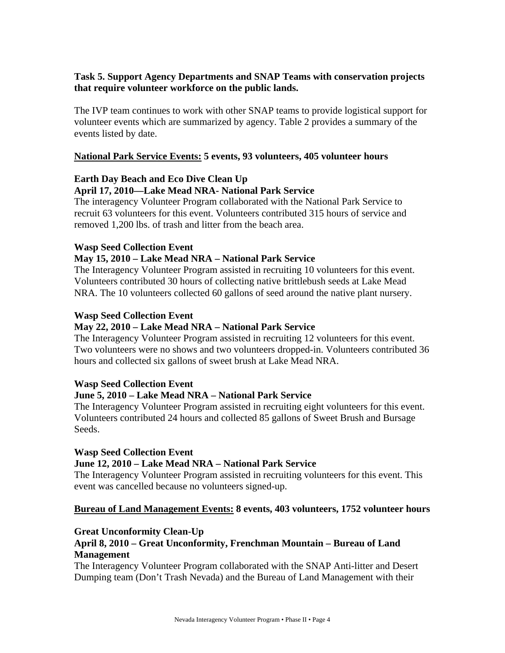# **Task 5. Support Agency Departments and SNAP Teams with conservation projects that require volunteer workforce on the public lands.**

The IVP team continues to work with other SNAP teams to provide logistical support for volunteer events which are summarized by agency. Table 2 provides a summary of the events listed by date.

#### **National Park Service Events: 5 events, 93 volunteers, 405 volunteer hours**

#### **Earth Day Beach and Eco Dive Clean Up April 17, 2010—Lake Mead NRA- National Park Service**

The interagency Volunteer Program collaborated with the National Park Service to recruit 63 volunteers for this event. Volunteers contributed 315 hours of service and removed 1,200 lbs. of trash and litter from the beach area.

#### **Wasp Seed Collection Event**

#### **May 15, 2010 – Lake Mead NRA – National Park Service**

The Interagency Volunteer Program assisted in recruiting 10 volunteers for this event. Volunteers contributed 30 hours of collecting native brittlebush seeds at Lake Mead NRA. The 10 volunteers collected 60 gallons of seed around the native plant nursery.

#### **Wasp Seed Collection Event**

#### **May 22, 2010 – Lake Mead NRA – National Park Service**

The Interagency Volunteer Program assisted in recruiting 12 volunteers for this event. Two volunteers were no shows and two volunteers dropped-in. Volunteers contributed 36 hours and collected six gallons of sweet brush at Lake Mead NRA.

#### **Wasp Seed Collection Event**

#### **June 5, 2010 – Lake Mead NRA – National Park Service**

The Interagency Volunteer Program assisted in recruiting eight volunteers for this event. Volunteers contributed 24 hours and collected 85 gallons of Sweet Brush and Bursage Seeds.

#### **Wasp Seed Collection Event**

#### **June 12, 2010 – Lake Mead NRA – National Park Service**

The Interagency Volunteer Program assisted in recruiting volunteers for this event. This event was cancelled because no volunteers signed-up.

#### **Bureau of Land Management Events: 8 events, 403 volunteers, 1752 volunteer hours**

# **Great Unconformity Clean-Up**

#### **April 8, 2010 – Great Unconformity, Frenchman Mountain – Bureau of Land Management**

The Interagency Volunteer Program collaborated with the SNAP Anti-litter and Desert Dumping team (Don't Trash Nevada) and the Bureau of Land Management with their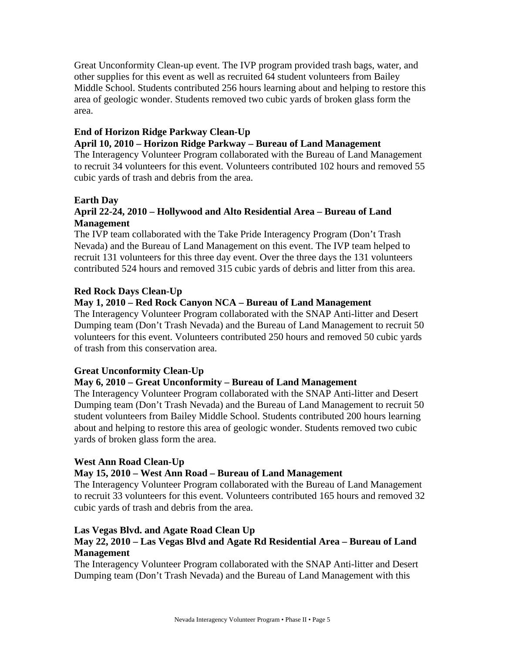Great Unconformity Clean-up event. The IVP program provided trash bags, water, and other supplies for this event as well as recruited 64 student volunteers from Bailey Middle School. Students contributed 256 hours learning about and helping to restore this area of geologic wonder. Students removed two cubic yards of broken glass form the area.

# **End of Horizon Ridge Parkway Clean-Up**

#### **April 10, 2010 – Horizon Ridge Parkway – Bureau of Land Management**

The Interagency Volunteer Program collaborated with the Bureau of Land Management to recruit 34 volunteers for this event. Volunteers contributed 102 hours and removed 55 cubic yards of trash and debris from the area.

#### **Earth Day**

# **April 22-24, 2010 – Hollywood and Alto Residential Area – Bureau of Land Management**

The IVP team collaborated with the Take Pride Interagency Program (Don't Trash Nevada) and the Bureau of Land Management on this event. The IVP team helped to recruit 131 volunteers for this three day event. Over the three days the 131 volunteers contributed 524 hours and removed 315 cubic yards of debris and litter from this area.

#### **Red Rock Days Clean-Up**

# **May 1, 2010 – Red Rock Canyon NCA – Bureau of Land Management**

The Interagency Volunteer Program collaborated with the SNAP Anti-litter and Desert Dumping team (Don't Trash Nevada) and the Bureau of Land Management to recruit 50 volunteers for this event. Volunteers contributed 250 hours and removed 50 cubic yards of trash from this conservation area.

#### **Great Unconformity Clean-Up**

# **May 6, 2010 – Great Unconformity – Bureau of Land Management**

The Interagency Volunteer Program collaborated with the SNAP Anti-litter and Desert Dumping team (Don't Trash Nevada) and the Bureau of Land Management to recruit 50 student volunteers from Bailey Middle School. Students contributed 200 hours learning about and helping to restore this area of geologic wonder. Students removed two cubic yards of broken glass form the area.

#### **West Ann Road Clean-Up**

#### **May 15, 2010 – West Ann Road – Bureau of Land Management**

The Interagency Volunteer Program collaborated with the Bureau of Land Management to recruit 33 volunteers for this event. Volunteers contributed 165 hours and removed 32 cubic yards of trash and debris from the area.

# **Las Vegas Blvd. and Agate Road Clean Up**

# **May 22, 2010 – Las Vegas Blvd and Agate Rd Residential Area – Bureau of Land Management**

The Interagency Volunteer Program collaborated with the SNAP Anti-litter and Desert Dumping team (Don't Trash Nevada) and the Bureau of Land Management with this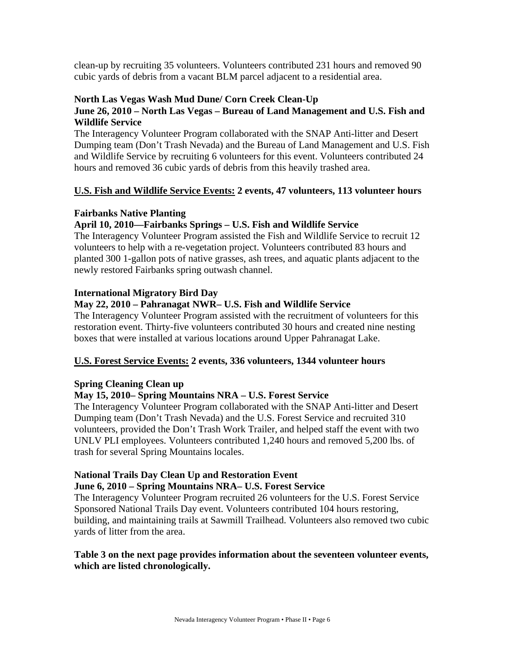clean-up by recruiting 35 volunteers. Volunteers contributed 231 hours and removed 90 cubic yards of debris from a vacant BLM parcel adjacent to a residential area.

## **North Las Vegas Wash Mud Dune/ Corn Creek Clean-Up**

# **June 26, 2010 – North Las Vegas – Bureau of Land Management and U.S. Fish and Wildlife Service**

The Interagency Volunteer Program collaborated with the SNAP Anti-litter and Desert Dumping team (Don't Trash Nevada) and the Bureau of Land Management and U.S. Fish and Wildlife Service by recruiting 6 volunteers for this event. Volunteers contributed 24 hours and removed 36 cubic yards of debris from this heavily trashed area.

# **U.S. Fish and Wildlife Service Events: 2 events, 47 volunteers, 113 volunteer hours**

# **Fairbanks Native Planting**

# **April 10, 2010—Fairbanks Springs – U.S. Fish and Wildlife Service**

The Interagency Volunteer Program assisted the Fish and Wildlife Service to recruit 12 volunteers to help with a re-vegetation project. Volunteers contributed 83 hours and planted 300 1-gallon pots of native grasses, ash trees, and aquatic plants adjacent to the newly restored Fairbanks spring outwash channel.

#### **International Migratory Bird Day**

# **May 22, 2010 – Pahranagat NWR– U.S. Fish and Wildlife Service**

The Interagency Volunteer Program assisted with the recruitment of volunteers for this restoration event. Thirty-five volunteers contributed 30 hours and created nine nesting boxes that were installed at various locations around Upper Pahranagat Lake.

# **U.S. Forest Service Events: 2 events, 336 volunteers, 1344 volunteer hours**

#### **Spring Cleaning Clean up**

# **May 15, 2010– Spring Mountains NRA – U.S. Forest Service**

The Interagency Volunteer Program collaborated with the SNAP Anti-litter and Desert Dumping team (Don't Trash Nevada) and the U.S. Forest Service and recruited 310 volunteers, provided the Don't Trash Work Trailer, and helped staff the event with two UNLV PLI employees. Volunteers contributed 1,240 hours and removed 5,200 lbs. of trash for several Spring Mountains locales.

# **National Trails Day Clean Up and Restoration Event**

#### **June 6, 2010 – Spring Mountains NRA– U.S. Forest Service**

The Interagency Volunteer Program recruited 26 volunteers for the U.S. Forest Service Sponsored National Trails Day event. Volunteers contributed 104 hours restoring, building, and maintaining trails at Sawmill Trailhead. Volunteers also removed two cubic yards of litter from the area.

#### **Table 3 on the next page provides information about the seventeen volunteer events, which are listed chronologically.**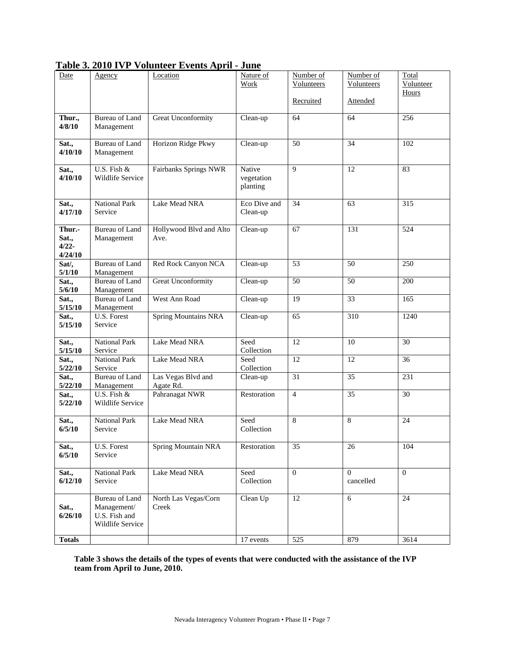| Date                                   | Agency                                                                    | Location                        | Nature of<br>Work                | Number of<br>Volunteers | Number of<br>Volunteers | Total<br>Volunteer<br>Hours |
|----------------------------------------|---------------------------------------------------------------------------|---------------------------------|----------------------------------|-------------------------|-------------------------|-----------------------------|
|                                        |                                                                           |                                 |                                  | Recruited               | Attended                |                             |
| Thur.,<br>4/8/10                       | <b>Bureau of Land</b><br>Management                                       | Great Unconformity              | Clean-up                         | 64                      | 64                      | 256                         |
| Sat.,<br>4/10/10                       | <b>Bureau of Land</b><br>Management                                       | Horizon Ridge Pkwy              | Clean-up                         | 50                      | 34                      | 102                         |
| Sat.,<br>4/10/10                       | U.S. Fish $\&$<br>Wildlife Service                                        | Fairbanks Springs NWR           | Native<br>vegetation<br>planting | $\mathbf{Q}$            | 12                      | 83                          |
| Sat.,<br>4/17/10                       | <b>National Park</b><br>Service                                           | Lake Mead NRA                   | Eco Dive and<br>Clean-up         | 34                      | 63                      | 315                         |
| Thur.-<br>Sat.,<br>$4/22 -$<br>4/24/10 | Bureau of Land<br>Management                                              | Hollywood Blvd and Alto<br>Ave. | Clean-up                         | 67                      | 131                     | 524                         |
| Sat/,<br>5/1/10                        | <b>Bureau of Land</b><br>Management                                       | Red Rock Canyon NCA             | Clean-up                         | 53                      | 50                      | 250                         |
| Sat.,<br>5/6/10                        | <b>Bureau</b> of Land<br>Management                                       | Great Unconformity              | Clean-up                         | 50                      | 50                      | 200                         |
| Sat.,<br>5/15/10                       | <b>Bureau of Land</b><br>Management                                       | West Ann Road                   | Clean-up                         | 19                      | 33                      | 165                         |
| Sat.,<br>5/15/10                       | U.S. Forest<br>Service                                                    | <b>Spring Mountains NRA</b>     | Clean-up                         | 65                      | 310                     | 1240                        |
| Sat.,<br>5/15/10                       | <b>National Park</b><br>Service                                           | Lake Mead NRA                   | Seed<br>Collection               | 12                      | 10                      | 30                          |
| Sat.,<br>5/22/10                       | <b>National Park</b><br>Service                                           | Lake Mead NRA                   | Seed<br>Collection               | 12                      | 12                      | 36                          |
| Sat.,<br>5/22/10                       | <b>Bureau</b> of Land<br>Management                                       | Las Vegas Blvd and<br>Agate Rd. | Clean-up                         | 31                      | 35                      | 231                         |
| Sat.,<br>5/22/10                       | U.S. Fish &<br>Wildlife Service                                           | Pahranagat NWR                  | Restoration                      | $\overline{4}$          | 35                      | 30                          |
| Sat.,<br>6/5/10                        | National Park<br>Service                                                  | Lake Mead NRA                   | Seed<br>Collection               | 8                       | 8                       | 24                          |
| Sat.,<br>6/5/10                        | U.S. Forest<br>Service                                                    | <b>Spring Mountain NRA</b>      | Restoration                      | 35                      | 26                      | 104                         |
| Sat.,<br>6/12/10                       | <b>National Park</b><br>Service                                           | Lake Mead NRA                   | Seed<br>Collection               | $\overline{0}$          | $\Omega$<br>cancelled   | $\mathbf{0}$                |
| Sat.,<br>6/26/10                       | <b>Bureau of Land</b><br>Management/<br>U.S. Fish and<br>Wildlife Service | North Las Vegas/Corn<br>Creek   | Clean Up                         | $\overline{12}$         | $\overline{6}$          | 24                          |
| <b>Totals</b>                          |                                                                           |                                 | 17 events                        | 525                     | 879                     | 3614                        |

# **Table 3. 2010 IVP Volunteer Events April - June**

**Table 3 shows the details of the types of events that were conducted with the assistance of the IVP team from April to June, 2010.**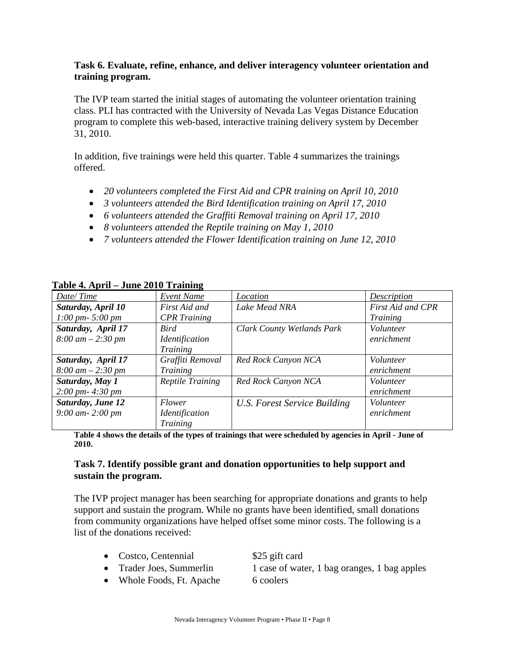#### **Task 6. Evaluate, refine, enhance, and deliver interagency volunteer orientation and training program.**

The IVP team started the initial stages of automating the volunteer orientation training class. PLI has contracted with the University of Nevada Las Vegas Distance Education program to complete this web-based, interactive training delivery system by December 31, 2010.

In addition, five trainings were held this quarter. Table 4 summarizes the trainings offered.

- *20 volunteers completed the First Aid and CPR training on April 10, 2010*
- *3 volunteers attended the Bird Identification training on April 17, 2010*
- *6 volunteers attended the Graffiti Removal training on April 17, 2010*
- *8 volunteers attended the Reptile training on May 1, 2010*
- *7 volunteers attended the Flower Identification training on June 12, 2010*

| $1$ avit $\rightarrow$ . April – Julie 2010 Training |                                     |                                   |                   |
|------------------------------------------------------|-------------------------------------|-----------------------------------|-------------------|
| Date/Time                                            | Event Name                          | Location                          | Description       |
| Saturday, April 10                                   | First Aid and                       | <b>Lake Mead NRA</b>              | First Aid and CPR |
| $1:00 \, \text{pm}$ - 5:00 $\text{pm}$               | <b>CPR</b> Training                 |                                   | <b>Training</b>   |
| Saturday, April 17                                   | Bird                                | <b>Clark County Wetlands Park</b> | Volunteer         |
| $8:00 \text{ } am - 2:30 \text{ } pm$                | <i><u><b>Identification</b></u></i> |                                   | enrichment        |
|                                                      | Training                            |                                   |                   |
| Saturday, April 17                                   | Graffiti Removal                    | Red Rock Canyon NCA               | Volunteer         |
| $8:00 \text{ } am - 2:30 \text{ } pm$                | Training                            |                                   | enrichment        |
| Saturday, May 1                                      | <b>Reptile Training</b>             | Red Rock Canyon NCA               | Volunteer         |
| $2:00 \, \text{pm}$ - 4:30 $\text{pm}$               |                                     |                                   | enrichment        |
| <b>Saturday, June 12</b>                             | <i>Flower</i>                       | U.S. Forest Service Building      | Volunteer         |
| $9:00$ am $-2:00$ pm                                 | <i><u><b>Identification</b></u></i> |                                   | enrichment        |
|                                                      | <b>Training</b>                     |                                   |                   |

**Table 4. April – June 2010 Training**

**Table 4 shows the details of the types of trainings that were scheduled by agencies in April - June of 2010.** 

#### **Task 7. Identify possible grant and donation opportunities to help support and sustain the program.**

The IVP project manager has been searching for appropriate donations and grants to help support and sustain the program. While no grants have been identified, small donations from community organizations have helped offset some minor costs. The following is a list of the donations received:

- Costco, Centennial \$25 gift card
- 
- Whole Foods, Ft. Apache 6 coolers

• Trader Joes, Summerlin 1 case of water, 1 bag oranges, 1 bag apples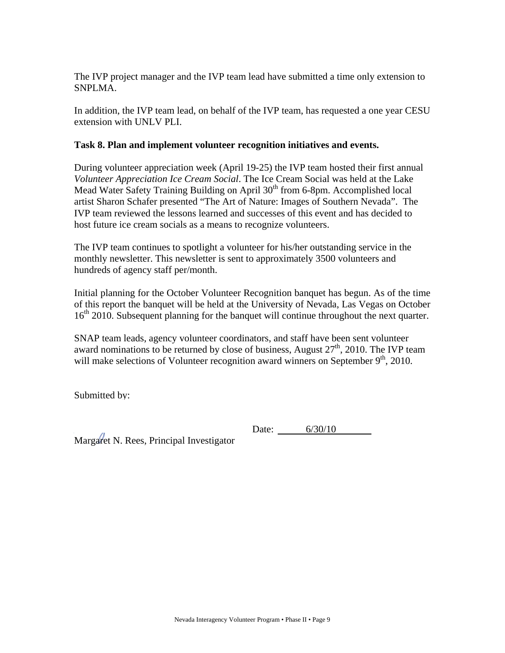The IVP project manager and the IVP team lead have submitted a time only extension to SNPLMA.

In addition, the IVP team lead, on behalf of the IVP team, has requested a one year CESU extension with UNLV PLI.

#### **Task 8. Plan and implement volunteer recognition initiatives and events.**

During volunteer appreciation week (April 19-25) the IVP team hosted their first annual *Volunteer Appreciation Ice Cream Social*. The Ice Cream Social was held at the Lake Mead Water Safety Training Building on April 30<sup>th</sup> from 6-8pm. Accomplished local artist Sharon Schafer presented "The Art of Nature: Images of Southern Nevada". The IVP team reviewed the lessons learned and successes of this event and has decided to host future ice cream socials as a means to recognize volunteers.

The IVP team continues to spotlight a volunteer for his/her outstanding service in the monthly newsletter. This newsletter is sent to approximately 3500 volunteers and hundreds of agency staff per/month.

Initial planning for the October Volunteer Recognition banquet has begun. As of the time of this report the banquet will be held at the University of Nevada, Las Vegas on October 16<sup>th</sup> 2010. Subsequent planning for the banquet will continue throughout the next quarter.

SNAP team leads, agency volunteer coordinators, and staff have been sent volunteer award nominations to be returned by close of business, August  $27<sup>th</sup>$ , 2010. The IVP team will make selections of Volunteer recognition award winners on September  $9<sup>th</sup>$ , 2010.

Submitted by:

Date: 6/30/10

Margaret N. Rees, Principal Investigator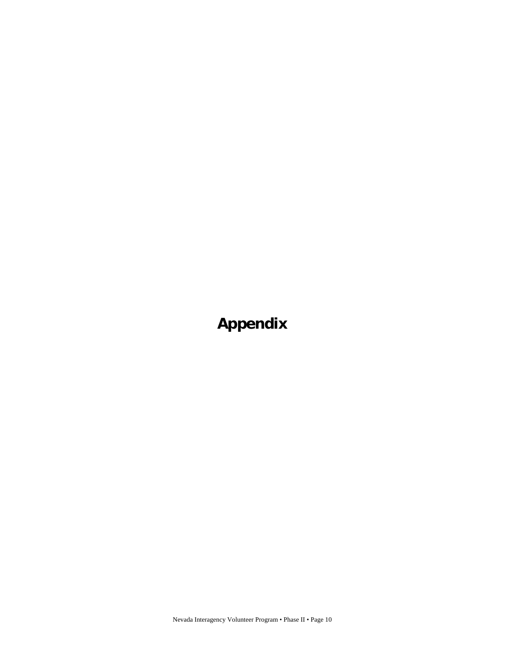**Appendix**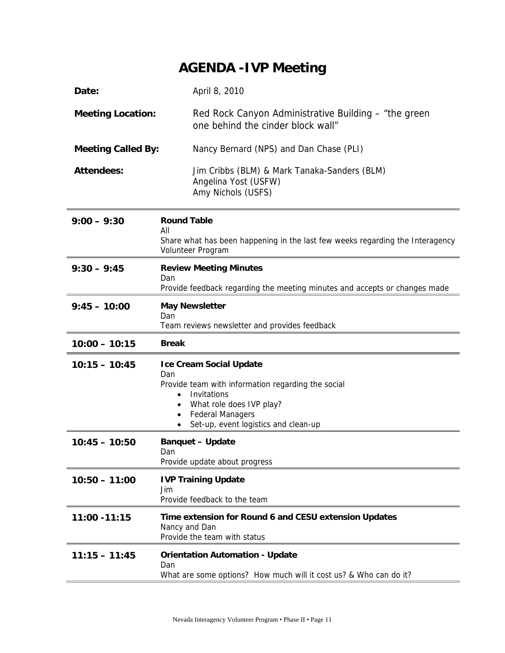# **AGENDA -IVP Meeting**

| Date:                     | April 8, 2010                                                                                                                                                                                             |
|---------------------------|-----------------------------------------------------------------------------------------------------------------------------------------------------------------------------------------------------------|
| <b>Meeting Location:</b>  | Red Rock Canyon Administrative Building – "the green<br>one behind the cinder block wall"                                                                                                                 |
| <b>Meeting Called By:</b> | Nancy Bernard (NPS) and Dan Chase (PLI)                                                                                                                                                                   |
| <b>Attendees:</b>         | Jim Cribbs (BLM) & Mark Tanaka-Sanders (BLM)<br>Angelina Yost (USFW)<br>Amy Nichols (USFS)                                                                                                                |
| $9:00 - 9:30$             | <b>Round Table</b><br>All                                                                                                                                                                                 |
|                           | Share what has been happening in the last few weeks regarding the Interagency<br>Volunteer Program                                                                                                        |
| $9:30 - 9:45$             | <b>Review Meeting Minutes</b><br>Dan                                                                                                                                                                      |
|                           | Provide feedback regarding the meeting minutes and accepts or changes made                                                                                                                                |
| $9:45 - 10:00$            | <b>May Newsletter</b><br>Dan<br>Team reviews newsletter and provides feedback                                                                                                                             |
| $10:00 - 10:15$           | <b>Break</b>                                                                                                                                                                                              |
|                           |                                                                                                                                                                                                           |
| $10:15 - 10:45$           | <b>Ice Cream Social Update</b><br>Dan<br>Provide team with information regarding the social<br>Invitations<br>What role does IVP play?<br><b>Federal Managers</b><br>Set-up, event logistics and clean-up |
| $10:45 - 10:50$           | <b>Banquet - Update</b><br>Dan<br>Provide update about progress                                                                                                                                           |
| $10:50 - 11:00$           | <b>IVP Training Update</b><br>Jim<br>Provide feedback to the team                                                                                                                                         |
| 11:00 - 11:15             | Time extension for Round 6 and CESU extension Updates<br>Nancy and Dan<br>Provide the team with status                                                                                                    |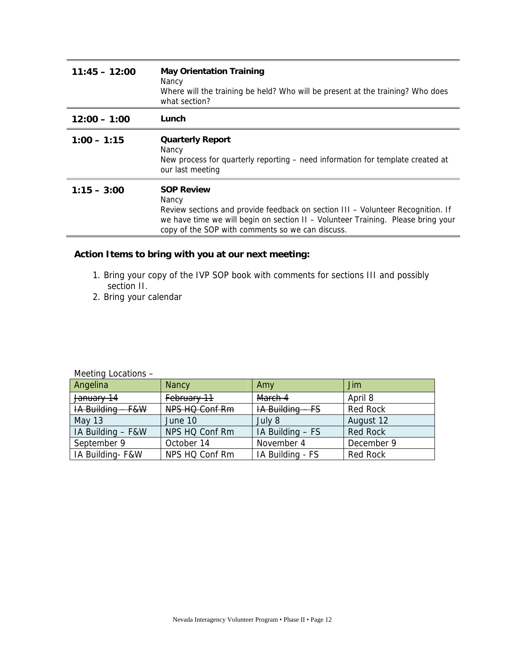| $11:45 - 12:00$ | <b>May Orientation Training</b><br>Nancy<br>Where will the training be held? Who will be present at the training? Who does<br>what section?                                                                                                           |
|-----------------|-------------------------------------------------------------------------------------------------------------------------------------------------------------------------------------------------------------------------------------------------------|
| $12:00 - 1:00$  | Lunch                                                                                                                                                                                                                                                 |
| $1:00 - 1:15$   | <b>Quarterly Report</b><br>Nancy<br>New process for quarterly reporting – need information for template created at<br>our last meeting                                                                                                                |
| $1:15 - 3:00$   | <b>SOP Review</b><br>Nancy<br>Review sections and provide feedback on section III - Volunteer Recognition. If<br>we have time we will begin on section II - Volunteer Training. Please bring your<br>copy of the SOP with comments so we can discuss. |

# **Action Items to bring with you at our next meeting:**

- 1. Bring your copy of the IVP SOP book with comments for sections III and possibly section II.
- 2. Bring your calendar

Meeting Locations –

| Angelina                     | <b>Nancy</b>   | Amy                         | Jim             |
|------------------------------|----------------|-----------------------------|-----------------|
| January 14                   | February 11    | March 4                     | April 8         |
| <b>IA Building</b><br>$-F&W$ | NPS HQ Conf Rm | <b>IA Building -</b><br>—FS | <b>Red Rock</b> |
| May $13$                     | June 10        | July 8                      | August 12       |
| IA Building - F&W            | NPS HQ Conf Rm | IA Building - FS            | <b>Red Rock</b> |
| September 9                  | October 14     | November 4                  | December 9      |
| IA Building- F&W             | NPS HQ Conf Rm | IA Building - FS            | <b>Red Rock</b> |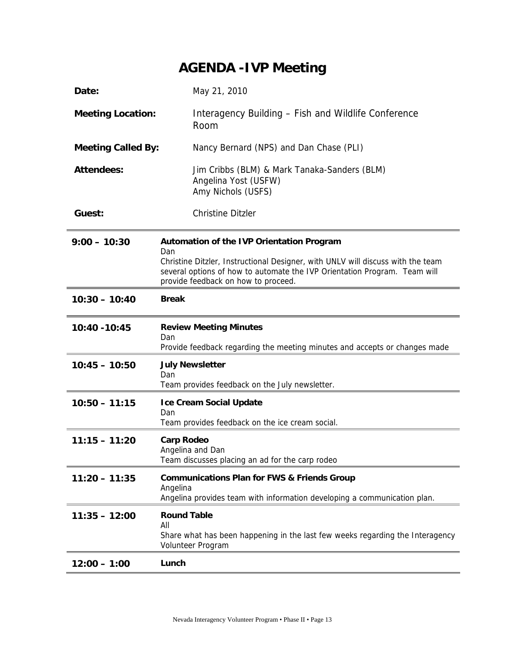# **AGENDA -IVP Meeting**

| Date:                     | May 21, 2010                                                                                                                                                                                                                                                   |
|---------------------------|----------------------------------------------------------------------------------------------------------------------------------------------------------------------------------------------------------------------------------------------------------------|
| <b>Meeting Location:</b>  | Interagency Building – Fish and Wildlife Conference<br>Room                                                                                                                                                                                                    |
| <b>Meeting Called By:</b> | Nancy Bernard (NPS) and Dan Chase (PLI)                                                                                                                                                                                                                        |
| <b>Attendees:</b>         | Jim Cribbs (BLM) & Mark Tanaka-Sanders (BLM)<br>Angelina Yost (USFW)<br>Amy Nichols (USFS)                                                                                                                                                                     |
| Guest:                    | <b>Christine Ditzler</b>                                                                                                                                                                                                                                       |
| $9:00 - 10:30$            | <b>Automation of the IVP Orientation Program</b><br>Dan<br>Christine Ditzler, Instructional Designer, with UNLV will discuss with the team<br>several options of how to automate the IVP Orientation Program. Team will<br>provide feedback on how to proceed. |
| $10:30 - 10:40$           | <b>Break</b>                                                                                                                                                                                                                                                   |
| 10:40 - 10:45             | <b>Review Meeting Minutes</b><br>Dan<br>Provide feedback regarding the meeting minutes and accepts or changes made                                                                                                                                             |
| $10:45 - 10:50$           | <b>July Newsletter</b><br>Dan<br>Team provides feedback on the July newsletter.                                                                                                                                                                                |
| $10:50 - 11:15$           | <b>Ice Cream Social Update</b><br>Dan<br>Team provides feedback on the ice cream social.                                                                                                                                                                       |
| $11:15 - 11:20$           | <b>Carp Rodeo</b><br>Angelina and Dan<br>Team discusses placing an ad for the carp rodeo                                                                                                                                                                       |
| $11:20 - 11:35$           | <b>Communications Plan for FWS &amp; Friends Group</b><br>Angelina<br>Angelina provides team with information developing a communication plan.                                                                                                                 |
| $11:35 - 12:00$           | <b>Round Table</b><br>All<br>Share what has been happening in the last few weeks regarding the Interagency<br>Volunteer Program                                                                                                                                |
| $12:00 - 1:00$            | Lunch                                                                                                                                                                                                                                                          |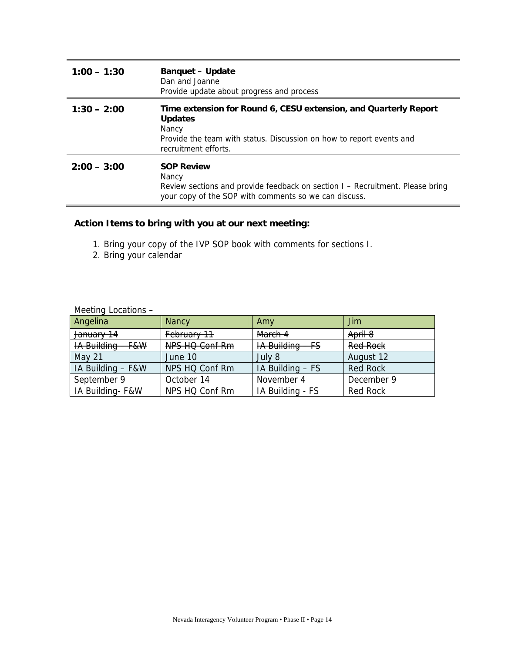| $1:00 - 1:30$ | <b>Banquet - Update</b><br>Dan and Joanne<br>Provide update about progress and process                                                                                                      |
|---------------|---------------------------------------------------------------------------------------------------------------------------------------------------------------------------------------------|
| $1:30 - 2:00$ | Time extension for Round 6, CESU extension, and Quarterly Report<br><b>Updates</b><br>Nancy<br>Provide the team with status. Discussion on how to report events and<br>recruitment efforts. |
| $2:00 - 3:00$ | <b>SOP Review</b><br>Nancy<br>Review sections and provide feedback on section I - Recruitment. Please bring<br>your copy of the SOP with comments so we can discuss.                        |

# **Action Items to bring with you at our next meeting:**

- 1. Bring your copy of the IVP SOP book with comments for sections I.
- 2. Bring your calendar

Meeting Locations –

| Angelina                     | <b>Nancy</b>   | Amy                         | Jim             |
|------------------------------|----------------|-----------------------------|-----------------|
| January 14                   | February 11    | March 4                     | April 8         |
| <b>IA Building</b><br>$-F&W$ | NPS HQ Conf Rm | <b>IA Building</b><br>$-FS$ | <b>Red Rock</b> |
| May 21                       | June 10        | July 8                      | August 12       |
| IA Building - F&W            | NPS HQ Conf Rm | IA Building - FS            | <b>Red Rock</b> |
| September 9                  | October 14     | November 4                  | December 9      |
| IA Building-F&W              | NPS HQ Conf Rm | IA Building - FS            | <b>Red Rock</b> |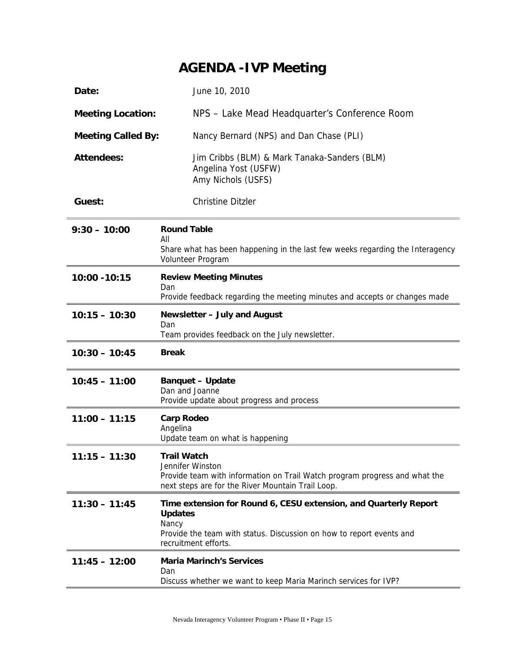# **AGENDA -IVP Meeting**

| Date:                     | June 10, 2010                                                                                                                                                                               |  |
|---------------------------|---------------------------------------------------------------------------------------------------------------------------------------------------------------------------------------------|--|
| <b>Meeting Location:</b>  | NPS - Lake Mead Headquarter's Conference Room                                                                                                                                               |  |
| <b>Meeting Called By:</b> | Nancy Bernard (NPS) and Dan Chase (PLI)                                                                                                                                                     |  |
| <b>Attendees:</b>         | Jim Cribbs (BLM) & Mark Tanaka-Sanders (BLM)<br>Angelina Yost (USFW)<br>Amy Nichols (USFS)                                                                                                  |  |
| Guest:                    | <b>Christine Ditzler</b>                                                                                                                                                                    |  |
| $9:30 - 10:00$            | <b>Round Table</b><br>All<br>Share what has been happening in the last few weeks regarding the Interagency                                                                                  |  |
|                           | Volunteer Program                                                                                                                                                                           |  |
| 10:00 - 10:15             | <b>Review Meeting Minutes</b><br>Dan<br>Provide feedback regarding the meeting minutes and accepts or changes made                                                                          |  |
| $10:15 - 10:30$           | Newsletter - July and August<br>Dan<br>Team provides feedback on the July newsletter.                                                                                                       |  |
| $10:30 - 10:45$           | <b>Break</b>                                                                                                                                                                                |  |
| $10:45 - 11:00$           | <b>Banquet - Update</b><br>Dan and Joanne<br>Provide update about progress and process                                                                                                      |  |
| $11:00 - 11:15$           | <b>Carp Rodeo</b><br>Angelina<br>Update team on what is happening                                                                                                                           |  |
| $11:15 - 11:30$           | <b>Trail Watch</b><br>Jennifer Winston<br>Provide team with information on Trail Watch program progress and what the<br>next steps are for the River Mountain Trail Loop.                   |  |
| $11:30 - 11:45$           | Time extension for Round 6, CESU extension, and Quarterly Report<br><b>Updates</b><br>Nancy<br>Provide the team with status. Discussion on how to report events and<br>recruitment efforts. |  |
| $11:45 - 12:00$           | <b>Maria Marinch's Services</b><br>Dan<br>Discuss whether we want to keep Maria Marinch services for IVP?                                                                                   |  |